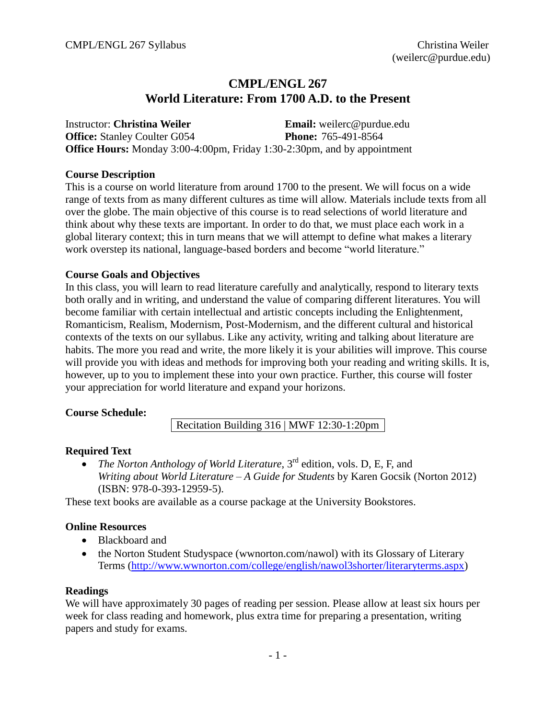# **CMPL/ENGL 267 World Literature: From 1700 A.D. to the Present**

Instructor: **Christina Weiler Email:** weilerc@purdue.edu **Office:** Stanley Coulter G054 **Phone:** 765-491-8564 **Office Hours:** Monday 3:00-4:00pm, Friday 1:30-2:30pm, and by appointment

#### **Course Description**

This is a course on world literature from around 1700 to the present. We will focus on a wide range of texts from as many different cultures as time will allow. Materials include texts from all over the globe. The main objective of this course is to read selections of world literature and think about why these texts are important. In order to do that, we must place each work in a global literary context; this in turn means that we will attempt to define what makes a literary work overstep its national, language-based borders and become "world literature."

#### **Course Goals and Objectives**

In this class, you will learn to read literature carefully and analytically, respond to literary texts both orally and in writing, and understand the value of comparing different literatures. You will become familiar with certain intellectual and artistic concepts including the Enlightenment, Romanticism, Realism, Modernism, Post-Modernism, and the different cultural and historical contexts of the texts on our syllabus. Like any activity, writing and talking about literature are habits. The more you read and write, the more likely it is your abilities will improve. This course will provide you with ideas and methods for improving both your reading and writing skills. It is, however, up to you to implement these into your own practice. Further, this course will foster your appreciation for world literature and expand your horizons.

## **Course Schedule:**

Recitation Building 316 | MWF 12:30-1:20pm

## **Required Text**

• *The Norton Anthology of World Literature*, 3<sup>rd</sup> edition, vols. D, E, F, and *Writing about World Literature – A Guide for Students* by Karen Gocsik (Norton 2012) (ISBN: 978-0-393-12959-5).

These text books are available as a course package at the University Bookstores.

## **Online Resources**

- Blackboard and
- the Norton Student Studyspace (wwnorton.com/nawol) with its Glossary of Literary Terms [\(http://www.wwnorton.com/college/english/nawol3shorter/literaryterms.aspx\)](http://www.wwnorton.com/college/english/nawol3shorter/literaryterms.aspx)

#### **Readings**

We will have approximately 30 pages of reading per session. Please allow at least six hours per week for class reading and homework, plus extra time for preparing a presentation, writing papers and study for exams.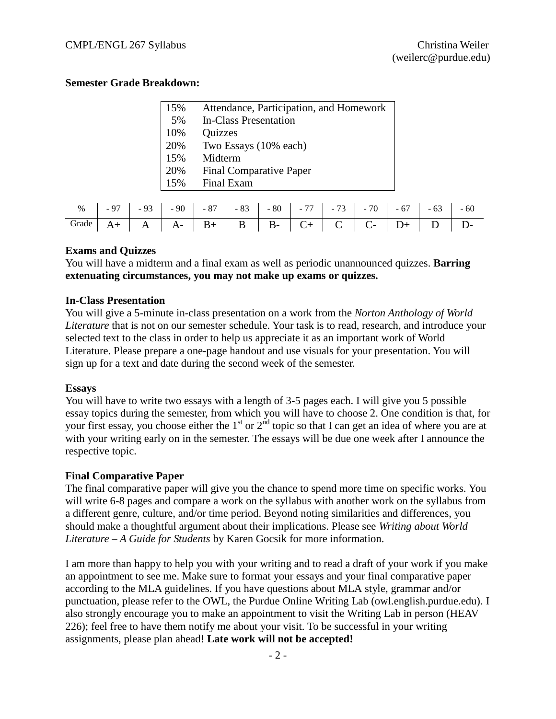#### **Semester Grade Breakdown:**

| 15% | Attendance, Participation, and Homework |
|-----|-----------------------------------------|
| 5%  | In-Class Presentation                   |
| 10% | <b>Quizzes</b>                          |
| 20% | Two Essays (10% each)                   |
| 15% | Midterm                                 |
| 20% | <b>Final Comparative Paper</b>          |
| 15% | Final Exam                              |

|                                       |  |  |  |  | %   -97   -93   -90   -87   -83   -80   -77   -73   -70   -67   -63   -60 |  |  |
|---------------------------------------|--|--|--|--|---------------------------------------------------------------------------|--|--|
| Grade A+ A A- B+ B B- C+ C C- D+ D D- |  |  |  |  |                                                                           |  |  |

#### **Exams and Quizzes**

You will have a midterm and a final exam as well as periodic unannounced quizzes. **Barring extenuating circumstances, you may not make up exams or quizzes.**

#### **In-Class Presentation**

You will give a 5-minute in-class presentation on a work from the *Norton Anthology of World Literature* that is not on our semester schedule. Your task is to read, research, and introduce your selected text to the class in order to help us appreciate it as an important work of World Literature. Please prepare a one-page handout and use visuals for your presentation. You will sign up for a text and date during the second week of the semester.

#### **Essays**

You will have to write two essays with a length of 3-5 pages each. I will give you 5 possible essay topics during the semester, from which you will have to choose 2. One condition is that, for your first essay, you choose either the  $1<sup>st</sup>$  or  $2<sup>nd</sup>$  topic so that I can get an idea of where you are at with your writing early on in the semester. The essays will be due one week after I announce the respective topic.

#### **Final Comparative Paper**

The final comparative paper will give you the chance to spend more time on specific works. You will write 6-8 pages and compare a work on the syllabus with another work on the syllabus from a different genre, culture, and/or time period. Beyond noting similarities and differences, you should make a thoughtful argument about their implications. Please see *Writing about World Literature – A Guide for Students* by Karen Gocsik for more information.

I am more than happy to help you with your writing and to read a draft of your work if you make an appointment to see me. Make sure to format your essays and your final comparative paper according to the MLA guidelines. If you have questions about MLA style, grammar and/or punctuation, please refer to the OWL, the Purdue Online Writing Lab (owl.english.purdue.edu). I also strongly encourage you to make an appointment to visit the Writing Lab in person (HEAV 226); feel free to have them notify me about your visit. To be successful in your writing assignments, please plan ahead! **Late work will not be accepted!**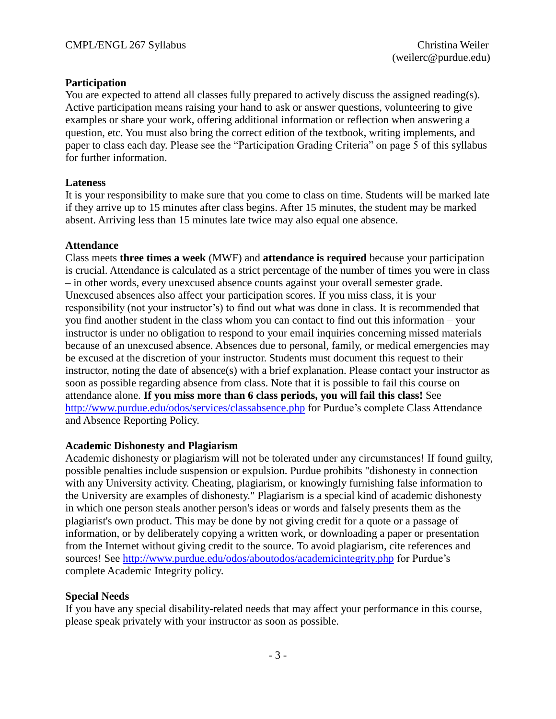## **Participation**

You are expected to attend all classes fully prepared to actively discuss the assigned reading(s). Active participation means raising your hand to ask or answer questions, volunteering to give examples or share your work, offering additional information or reflection when answering a question, etc. You must also bring the correct edition of the textbook, writing implements, and paper to class each day. Please see the "Participation Grading Criteria" on page 5 of this syllabus for further information.

#### **Lateness**

It is your responsibility to make sure that you come to class on time. Students will be marked late if they arrive up to 15 minutes after class begins. After 15 minutes, the student may be marked absent. Arriving less than 15 minutes late twice may also equal one absence.

#### **Attendance**

Class meets **three times a week** (MWF) and **attendance is required** because your participation is crucial. Attendance is calculated as a strict percentage of the number of times you were in class – in other words, every unexcused absence counts against your overall semester grade. Unexcused absences also affect your participation scores. If you miss class, it is your responsibility (not your instructor's) to find out what was done in class. It is recommended that you find another student in the class whom you can contact to find out this information – your instructor is under no obligation to respond to your email inquiries concerning missed materials because of an unexcused absence. Absences due to personal, family, or medical emergencies may be excused at the discretion of your instructor. Students must document this request to their instructor, noting the date of absence(s) with a brief explanation. Please contact your instructor as soon as possible regarding absence from class. Note that it is possible to fail this course on attendance alone. **If you miss more than 6 class periods, you will fail this class!** See <http://www.purdue.edu/odos/services/classabsence.php> for Purdue's complete Class Attendance and Absence Reporting Policy.

## **Academic Dishonesty and Plagiarism**

Academic dishonesty or plagiarism will not be tolerated under any circumstances! If found guilty, possible penalties include suspension or expulsion. Purdue prohibits "dishonesty in connection with any University activity. Cheating, plagiarism, or knowingly furnishing false information to the University are examples of dishonesty." Plagiarism is a special kind of academic dishonesty in which one person steals another person's ideas or words and falsely presents them as the plagiarist's own product. This may be done by not giving credit for a quote or a passage of information, or by deliberately copying a written work, or downloading a paper or presentation from the Internet without giving credit to the source. To avoid plagiarism, cite references and sources! See<http://www.purdue.edu/odos/aboutodos/academicintegrity.php> for Purdue's complete Academic Integrity policy.

## **Special Needs**

If you have any special disability-related needs that may affect your performance in this course, please speak privately with your instructor as soon as possible.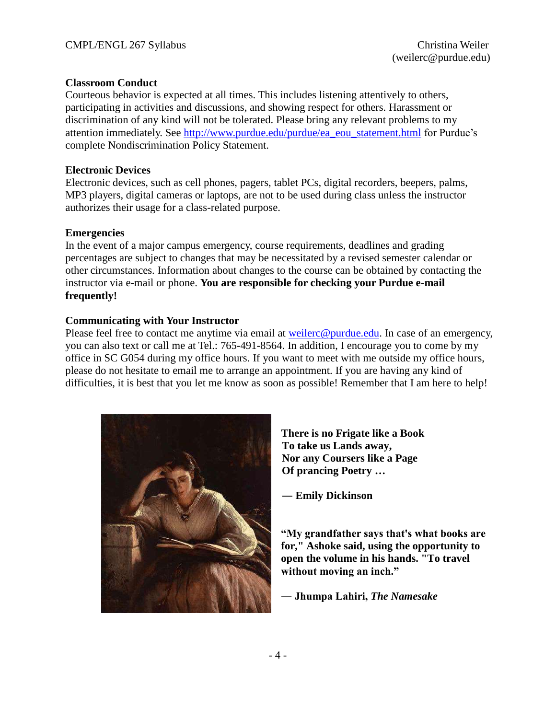#### **Classroom Conduct**

Courteous behavior is expected at all times. This includes listening attentively to others, participating in activities and discussions, and showing respect for others. Harassment or discrimination of any kind will not be tolerated. Please bring any relevant problems to my attention immediately. See [http://www.purdue.edu/purdue/ea\\_eou\\_statement.html](http://www.purdue.edu/purdue/ea_eou_statement.html) for Purdue's complete Nondiscrimination Policy Statement.

#### **Electronic Devices**

Electronic devices, such as cell phones, pagers, tablet PCs, digital recorders, beepers, palms, MP3 players, digital cameras or laptops, are not to be used during class unless the instructor authorizes their usage for a class-related purpose.

#### **Emergencies**

In the event of a major campus emergency, course requirements, deadlines and grading percentages are subject to changes that may be necessitated by a revised semester calendar or other circumstances. Information about changes to the course can be obtained by contacting the instructor via e-mail or phone. **You are responsible for checking your Purdue e-mail frequently!**

#### **Communicating with Your Instructor**

Please feel free to contact me anytime via email at [weilerc@purdue.edu.](mailto:weilerc@purdue.edu) In case of an emergency, you can also text or call me at Tel.: 765-491-8564. In addition, I encourage you to come by my office in SC G054 during my office hours. If you want to meet with me outside my office hours, please do not hesitate to email me to arrange an appointment. If you are having any kind of difficulties, it is best that you let me know as soon as possible! Remember that I am here to help!



**There is no Frigate like a Book To take us Lands away, Nor any Coursers like a Page Of prancing Poetry …** 

― **Emily Dickinson**

**"My grandfather says that's what books are for," Ashoke said, using the opportunity to open the volume in his hands. "To travel without moving an inch."** 

**― Jhumpa Lahiri,** *The Namesake*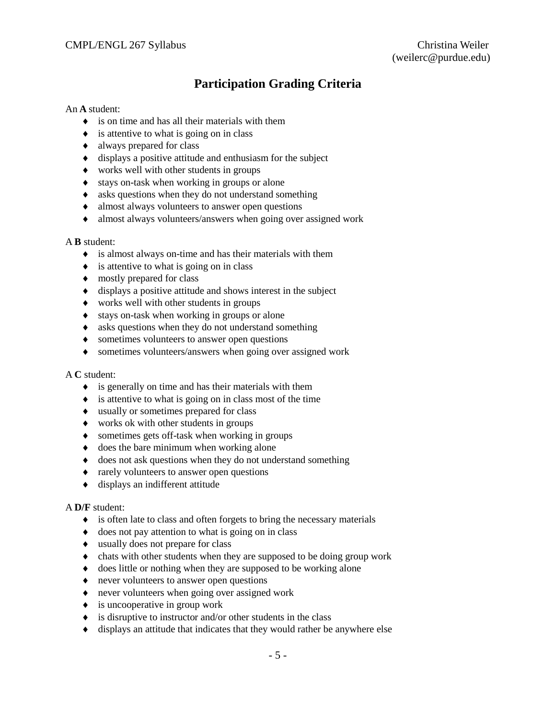# **Participation Grading Criteria**

#### An **A** student:

- $\bullet$  is on time and has all their materials with them
- $\bullet$  is attentive to what is going on in class
- always prepared for class
- $\bullet$  displays a positive attitude and enthusiasm for the subject
- works well with other students in groups
- $\bullet$  stays on-task when working in groups or alone
- $\bullet$  asks questions when they do not understand something
- almost always volunteers to answer open questions
- almost always volunteers/answers when going over assigned work

#### A **B** student:

- is almost always on-time and has their materials with them
- $\bullet$  is attentive to what is going on in class
- $\bullet$  mostly prepared for class
- $\bullet$  displays a positive attitude and shows interest in the subject
- works well with other students in groups
- $\bullet$  stays on-task when working in groups or alone
- asks questions when they do not understand something
- sometimes volunteers to answer open questions
- sometimes volunteers/answers when going over assigned work

#### A **C** student:

- $\bullet$  is generally on time and has their materials with them
- $\bullet$  is attentive to what is going on in class most of the time
- usually or sometimes prepared for class
- works ok with other students in groups
- sometimes gets off-task when working in groups
- $\bullet$  does the bare minimum when working alone
- $\bullet$  does not ask questions when they do not understand something
- rarely volunteers to answer open questions
- displays an indifferent attitude

#### A **D/F** student:

- is often late to class and often forgets to bring the necessary materials
- $\bullet$  does not pay attention to what is going on in class
- usually does not prepare for class
- chats with other students when they are supposed to be doing group work
- does little or nothing when they are supposed to be working alone
- never volunteers to answer open questions
- never volunteers when going over assigned work
- $\bullet$  is uncooperative in group work
- $\bullet$  is disruptive to instructor and/or other students in the class
- $\bullet$  displays an attitude that indicates that they would rather be anywhere else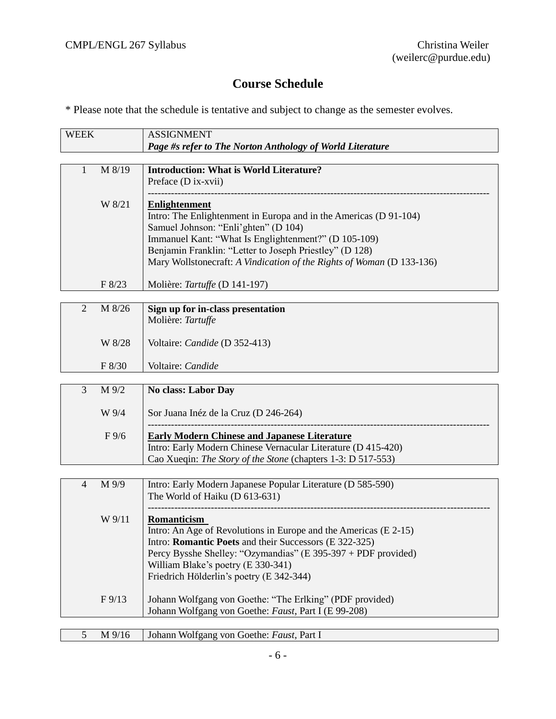# **Course Schedule**

\* Please note that the schedule is tentative and subject to change as the semester evolves.

| <b>WEEK</b>    |                 | <b>ASSIGNMENT</b>                                                     |
|----------------|-----------------|-----------------------------------------------------------------------|
|                |                 | Page #s refer to The Norton Anthology of World Literature             |
|                |                 |                                                                       |
| $\mathbf{1}$   | M 8/19          | <b>Introduction: What is World Literature?</b>                        |
|                |                 | Preface (D ix-xvii)                                                   |
|                |                 |                                                                       |
|                | W 8/21          | <b>Enlightenment</b>                                                  |
|                |                 | Intro: The Enlightenment in Europa and in the Americas (D 91-104)     |
|                |                 | Samuel Johnson: "Enli'ghten" (D 104)                                  |
|                |                 | Immanuel Kant: "What Is Englightenment?" (D 105-109)                  |
|                |                 | Benjamin Franklin: "Letter to Joseph Priestley" (D 128)               |
|                |                 | Mary Wollstonecraft: A Vindication of the Rights of Woman (D 133-136) |
|                |                 |                                                                       |
|                | F 8/23          | Molière: Tartuffe (D 141-197)                                         |
| $\overline{2}$ | M 8/26          | Sign up for in-class presentation                                     |
|                |                 | Molière: Tartuffe                                                     |
|                |                 |                                                                       |
|                | W 8/28          | Voltaire: Candide (D 352-413)                                         |
|                |                 |                                                                       |
|                | F 8/30          | Voltaire: Candide                                                     |
|                |                 |                                                                       |
| 3              | M 9/2           | No class: Labor Day                                                   |
|                |                 |                                                                       |
|                | W 9/4           | Sor Juana Inéz de la Cruz (D 246-264)                                 |
|                | $F\,9/6$        | <b>Early Modern Chinese and Japanese Literature</b>                   |
|                |                 | Intro: Early Modern Chinese Vernacular Literature (D 415-420)         |
|                |                 | Cao Xueqin: The Story of the Stone (chapters 1-3: D 517-553)          |
|                |                 |                                                                       |
| $\overline{4}$ | M 9/9           | Intro: Early Modern Japanese Popular Literature (D 585-590)           |
|                |                 | The World of Haiku (D 613-631)                                        |
|                |                 |                                                                       |
|                | W 9/11          | Romanticism                                                           |
|                |                 | Intro: An Age of Revolutions in Europe and the Americas (E 2-15)      |
|                |                 | Intro: <b>Romantic Poets</b> and their Successors (E 322-325)         |
|                |                 | Percy Bysshe Shelley: "Ozymandias" (E 395-397 + PDF provided)         |
|                |                 | William Blake's poetry (E 330-341)                                    |
|                |                 | Friedrich Hölderlin's poetry (E 342-344)                              |
|                |                 |                                                                       |
|                | $F\frac{9}{13}$ | Johann Wolfgang von Goethe: "The Erlking" (PDF provided)              |
|                |                 | Johann Wolfgang von Goethe: Faust, Part I (E 99-208)                  |
|                |                 |                                                                       |

| M 9/16 | Johann Wolfgang von Goethe: <i>Faust</i> , Part I |
|--------|---------------------------------------------------|
|        |                                                   |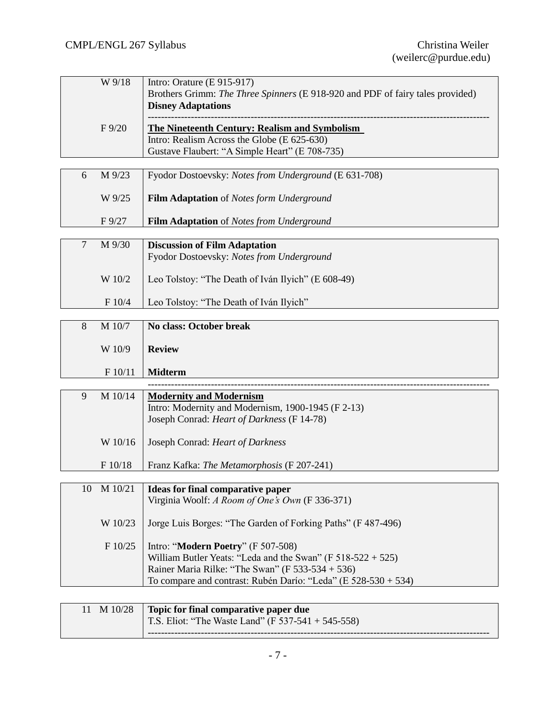|   | W 9/18    | Intro: Orature $(E 915-917)$                                                   |
|---|-----------|--------------------------------------------------------------------------------|
|   |           | Brothers Grimm: The Three Spinners (E 918-920 and PDF of fairy tales provided) |
|   |           | <b>Disney Adaptations</b>                                                      |
|   |           |                                                                                |
|   | $F\,9/20$ | The Nineteenth Century: Realism and Symbolism                                  |
|   |           | Intro: Realism Across the Globe (E 625-630)                                    |
|   |           | Gustave Flaubert: "A Simple Heart" (E 708-735)                                 |
|   |           |                                                                                |
| 6 | M 9/23    | Fyodor Dostoevsky: Notes from Underground (E 631-708)                          |
|   |           |                                                                                |
|   | W 9/25    | <b>Film Adaptation</b> of <i>Notes form Underground</i>                        |
|   |           |                                                                                |
|   | $F\,9/27$ | <b>Film Adaptation</b> of <i>Notes from Underground</i>                        |
|   |           |                                                                                |
|   |           |                                                                                |
| 7 | M 9/30    | Discussion of Film Adaptation                                                  |

| M 9/30<br>⇁ | <b>Discussion of Film Adaptation</b><br>Fyodor Dostoevsky: Notes from Underground |
|-------------|-----------------------------------------------------------------------------------|
| W 10/2      | Leo Tolstoy: "The Death of Iván Ilyich" (E 608-49)                                |
| F 10/4      | Leo Tolstoy: "The Death of Iván Ilyich"                                           |
|             |                                                                                   |

| 8 | M 10/7  | No class: October break |
|---|---------|-------------------------|
|   | W 10/9  | <b>Review</b>           |
|   | F 10/11 | <b>Midterm</b>          |

| M 10/14<br>9       | <b>Modernity and Modernism</b>                               |
|--------------------|--------------------------------------------------------------|
|                    | Intro: Modernity and Modernism, 1900-1945 (F 2-13)           |
|                    | Joseph Conrad: <i>Heart of Darkness</i> (F 14-78)            |
|                    |                                                              |
| W 10/16            | Joseph Conrad: <i>Heart of Darkness</i>                      |
|                    |                                                              |
| F 10/18            | Franz Kafka: <i>The Metamorphosis</i> (F 207-241)            |
|                    |                                                              |
| M 10/21<br>10      | Ideas for final comparative paper                            |
|                    | Virginia Woolf: A Room of One's Own (F 336-371)              |
|                    |                                                              |
| $\mathbf{W}$ 10/22 | Large Luis Denges: "The Cender of Earling Deths" (E 407-406) |

| W 10/23   Jorge Luis Borges: "The Garden of Forking Paths" (F 487-496) |
|------------------------------------------------------------------------|
| F $10/25$   Intro: " <b>Modern Poetry</b> " (F 507-508)                |
| William Butler Yeats: "Leda and the Swan" (F $518-522+525$ )           |
| Rainer Maria Rilke: "The Swan" (F 533-534 + 536)                       |

| 11 M 10/28 Topic for final comparative paper due   |
|----------------------------------------------------|
| T.S. Eliot: "The Waste Land" (F 537-541 + 545-558) |
|                                                    |

To compare and contrast: Rubén Darío: "Leda" (E 528-530 + 534)